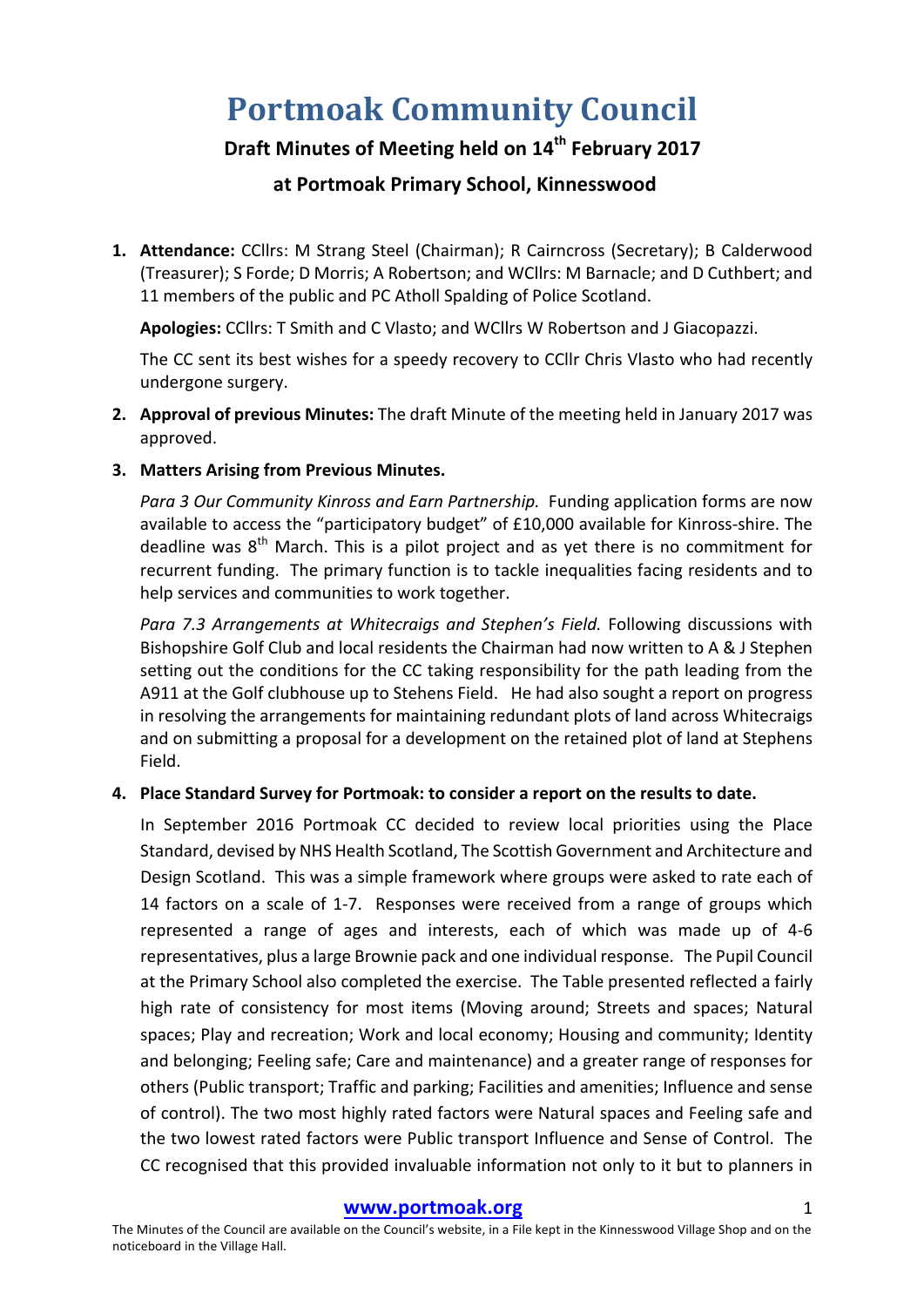# **Portmoak Community Council**

## **Draft Minutes of Meeting held on 14th February 2017**

## **at Portmoak Primary School, Kinnesswood**

1. Attendance: CCllrs: M Strang Steel (Chairman); R Cairncross (Secretary); B Calderwood (Treasurer); S Forde; D Morris; A Robertson; and WCllrs: M Barnacle; and D Cuthbert; and 11 members of the public and PC Atholl Spalding of Police Scotland.

Apologies: CCllrs: T Smith and C Vlasto; and WCllrs W Robertson and J Giacopazzi.

The CC sent its best wishes for a speedy recovery to CCllr Chris Vlasto who had recently undergone surgery.

- **2. Approval of previous Minutes:** The draft Minute of the meeting held in January 2017 was approved.
- **3. Matters Arising from Previous Minutes.**

*Para 3 Our Community Kinross and Earn Partnership.* Funding application forms are now available to access the "participatory budget" of £10,000 available for Kinross-shire. The deadline was  $8<sup>th</sup>$  March. This is a pilot project and as yet there is no commitment for recurrent funding. The primary function is to tackle inequalities facing residents and to help services and communities to work together.

Para 7.3 Arrangements at Whitecraigs and Stephen's Field. Following discussions with Bishopshire Golf Club and local residents the Chairman had now written to A & J Stephen setting out the conditions for the CC taking responsibility for the path leading from the A911 at the Golf clubhouse up to Stehens Field. He had also sought a report on progress in resolving the arrangements for maintaining redundant plots of land across Whitecraigs and on submitting a proposal for a development on the retained plot of land at Stephens Field. 

## 4. Place Standard Survey for Portmoak: to consider a report on the results to date.

In September 2016 Portmoak CC decided to review local priorities using the Place Standard, devised by NHS Health Scotland, The Scottish Government and Architecture and Design Scotland. This was a simple framework where groups were asked to rate each of 14 factors on a scale of 1-7. Responses were received from a range of groups which represented a range of ages and interests, each of which was made up of 4-6 representatives, plus a large Brownie pack and one individual response. The Pupil Council at the Primary School also completed the exercise. The Table presented reflected a fairly high rate of consistency for most items (Moving around; Streets and spaces; Natural spaces; Play and recreation; Work and local economy; Housing and community; Identity and belonging; Feeling safe; Care and maintenance) and a greater range of responses for others (Public transport; Traffic and parking; Facilities and amenities; Influence and sense of control). The two most highly rated factors were Natural spaces and Feeling safe and the two lowest rated factors were Public transport Influence and Sense of Control. The CC recognised that this provided invaluable information not only to it but to planners in

#### **www.portmoak.org** 1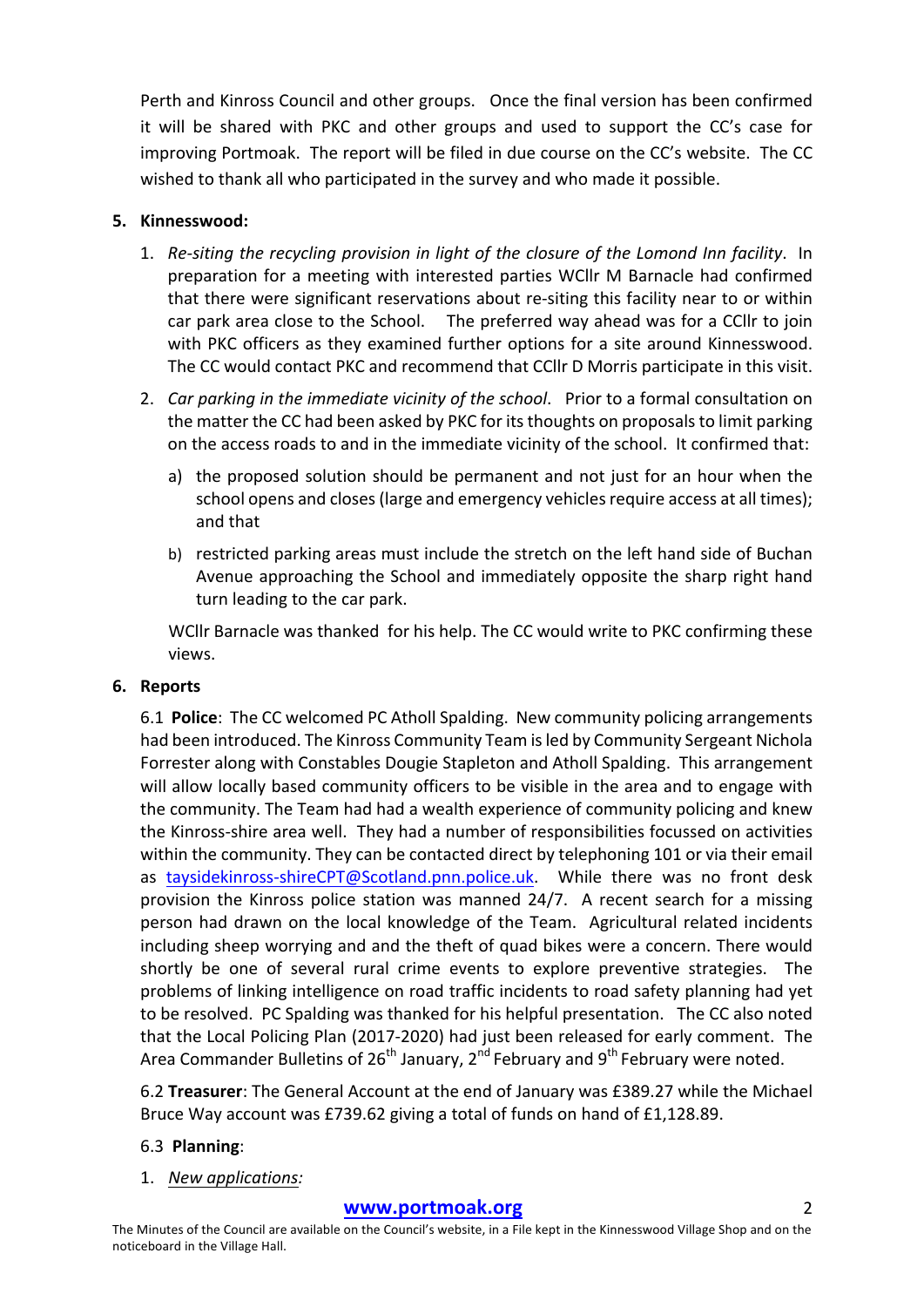Perth and Kinross Council and other groups. Once the final version has been confirmed it will be shared with PKC and other groups and used to support the CC's case for improving Portmoak. The report will be filed in due course on the CC's website. The CC wished to thank all who participated in the survey and who made it possible.

## **5. Kinnesswood:**

- 1. Re-siting the recycling provision in light of the closure of the Lomond Inn facility. In preparation for a meeting with interested parties WCllr M Barnacle had confirmed that there were significant reservations about re-siting this facility near to or within car park area close to the School. The preferred way ahead was for a CCllr to join with PKC officers as they examined further options for a site around Kinnesswood. The CC would contact PKC and recommend that CCllr D Morris participate in this visit.
- 2. *Car parking in the immediate vicinity of the school.* Prior to a formal consultation on the matter the CC had been asked by PKC for its thoughts on proposals to limit parking on the access roads to and in the immediate vicinity of the school. It confirmed that:
	- a) the proposed solution should be permanent and not just for an hour when the school opens and closes (large and emergency vehicles require access at all times); and that
	- b) restricted parking areas must include the stretch on the left hand side of Buchan Avenue approaching the School and immediately opposite the sharp right hand turn leading to the car park.

WCllr Barnacle was thanked for his help. The CC would write to PKC confirming these views.

## **6. Reports**

6.1 **Police**: The CC welcomed PC Atholl Spalding. New community policing arrangements had been introduced. The Kinross Community Team is led by Community Sergeant Nichola Forrester along with Constables Dougie Stapleton and Atholl Spalding. This arrangement will allow locally based community officers to be visible in the area and to engage with the community. The Team had had a wealth experience of community policing and knew the Kinross-shire area well. They had a number of responsibilities focussed on activities within the community. They can be contacted direct by telephoning 101 or via their email as taysidekinross-shireCPT@Scotland.pnn.police.uk. While there was no front desk provision the Kinross police station was manned  $24/7$ . A recent search for a missing person had drawn on the local knowledge of the Team. Agricultural related incidents including sheep worrying and and the theft of quad bikes were a concern. There would shortly be one of several rural crime events to explore preventive strategies. The problems of linking intelligence on road traffic incidents to road safety planning had yet to be resolved. PC Spalding was thanked for his helpful presentation. The CC also noted that the Local Policing Plan (2017-2020) had just been released for early comment. The Area Commander Bulletins of  $26<sup>th</sup>$  January,  $2<sup>nd</sup>$  February and  $9<sup>th</sup>$  February were noted.

6.2 **Treasurer**: The General Account at the end of January was £389.27 while the Michael Bruce Way account was £739.62 giving a total of funds on hand of £1,128.89.

## 6.3 **Planning**:

1. *New applications:*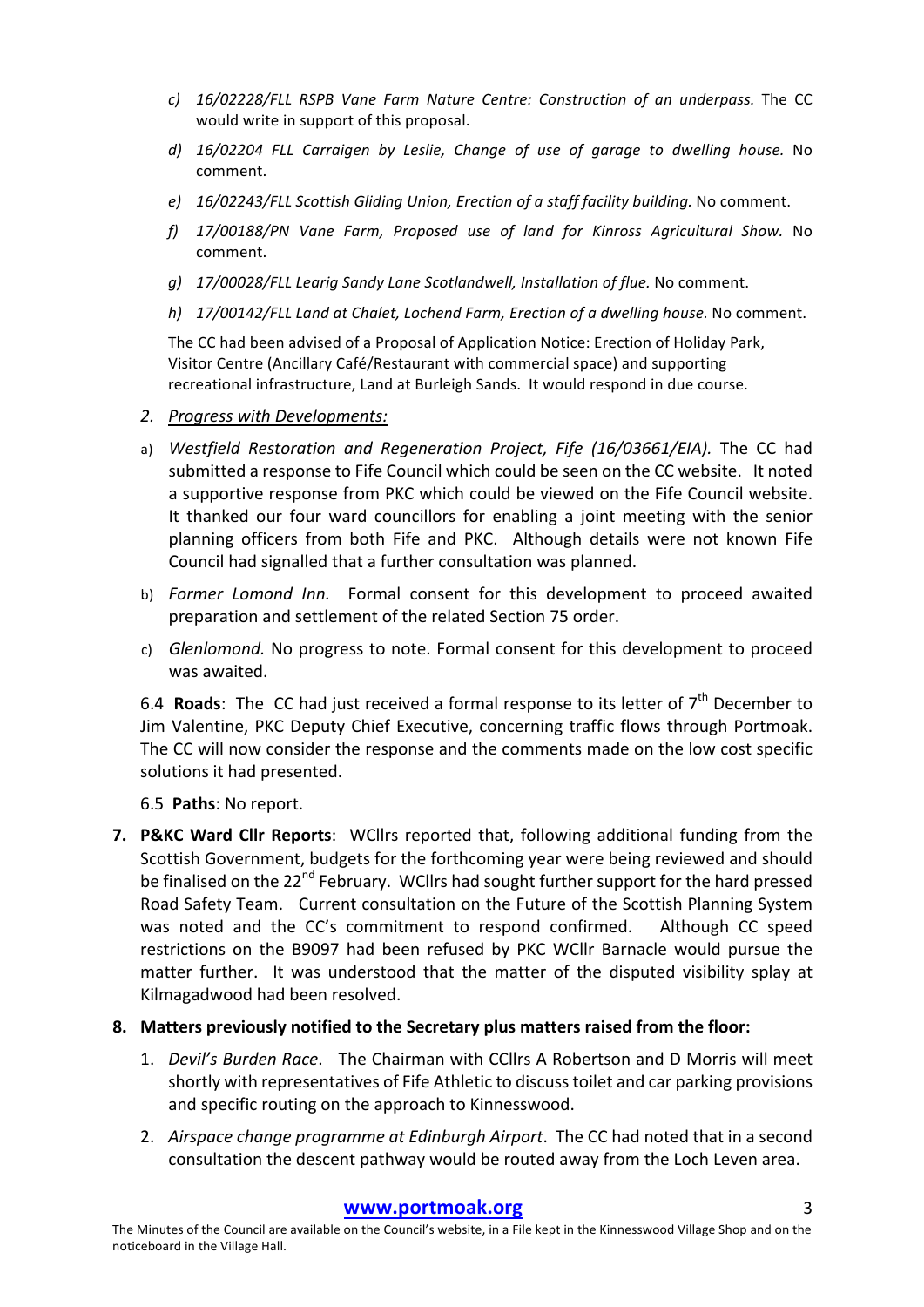- *c*) 16/02228/FLL RSPB Vane Farm Nature Centre: Construction of an underpass. The CC would write in support of this proposal.
- d) 16/02204 FLL Carraigen by Leslie, Change of use of garage to dwelling house. No comment.
- *e*) 16/02243/FLL Scottish Gliding Union, Erection of a staff facility building. No comment.
- *f) 17/00188/PN Vane Farm, Proposed use of land for Kinross Agricultural Show.* No comment.
- *g)* 17/00028/FLL Learig Sandy Lane Scotlandwell, Installation of flue. No comment.
- *h)* 17/00142/FLL Land at Chalet, Lochend Farm, Erection of a dwelling house. No comment.

The CC had been advised of a Proposal of Application Notice: Erection of Holiday Park, Visitor Centre (Ancillary Café/Restaurant with commercial space) and supporting recreational infrastructure, Land at Burleigh Sands. It would respond in due course.

- *2. Progress with Developments:*
- a) Westfield Restoration and Regeneration Project, Fife (16/03661/EIA). The CC had submitted a response to Fife Council which could be seen on the CC website. It noted a supportive response from PKC which could be viewed on the Fife Council website. It thanked our four ward councillors for enabling a joint meeting with the senior planning officers from both Fife and PKC. Although details were not known Fife Council had signalled that a further consultation was planned.
- b) *Former Lomond Inn.* Formal consent for this development to proceed awaited preparation and settlement of the related Section 75 order.
- c) *Glenlomond.* No progress to note. Formal consent for this development to proceed was awaited.

6.4 **Roads**: The CC had just received a formal response to its letter of  $7<sup>th</sup>$  December to Jim Valentine, PKC Deputy Chief Executive, concerning traffic flows through Portmoak. The CC will now consider the response and the comments made on the low cost specific solutions it had presented.

6.5 **Paths**: No report.

**7. P&KC Ward Cllr Reports:** WCllrs reported that, following additional funding from the Scottish Government, budgets for the forthcoming year were being reviewed and should be finalised on the 22<sup>nd</sup> February. WCllrs had sought further support for the hard pressed Road Safety Team. Current consultation on the Future of the Scottish Planning System was noted and the CC's commitment to respond confirmed. Although CC speed restrictions on the B9097 had been refused by PKC WCllr Barnacle would pursue the matter further. It was understood that the matter of the disputed visibility splay at Kilmagadwood had been resolved.

#### 8. Matters previously notified to the Secretary plus matters raised from the floor:

- 1. *Devil's Burden Race*. The Chairman with CCllrs A Robertson and D Morris will meet shortly with representatives of Fife Athletic to discuss toilet and car parking provisions and specific routing on the approach to Kinnesswood.
- 2. *Airspace change programme at Edinburgh Airport*. The CC had noted that in a second consultation the descent pathway would be routed away from the Loch Leven area.